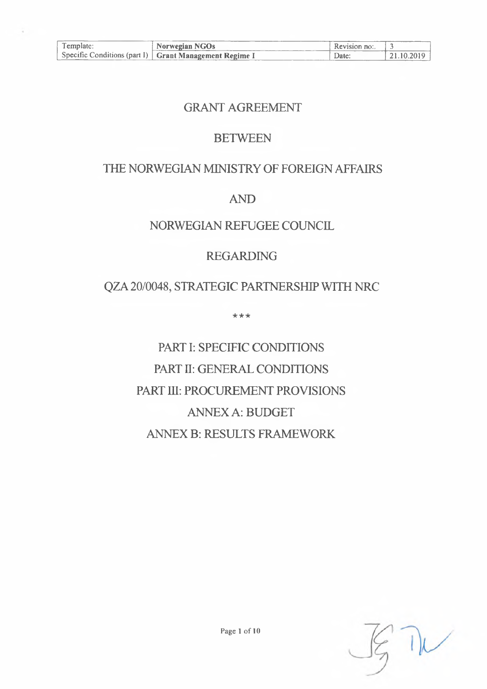| l emplate: | Norwegian NGOs                                           | Revision no: |               |
|------------|----------------------------------------------------------|--------------|---------------|
|            | Specific Conditions (part I)   Grant Management Regime I | Date:        | $+21.10.2019$ |

## GRANT AGREEMENT

## **BETWEEN**

# THE NORWEGIAN MINISTRY OF FOREIGN AFFAIRS

## AND

# NORWEGIAN REFUGEE COUNCIL

# REGARDING

## QZA 20/0048, STRATEGIC PARTNERSHIP WITH NRC

\*\*\*

# PART I: SPECIFIC CONDITIONS PART II: GENERAL CONDITIONS PART HI: PROCUREMENT PROVISIONS ANNEXA: BUDGET ANNEX B: RESULTS FRAMEWORK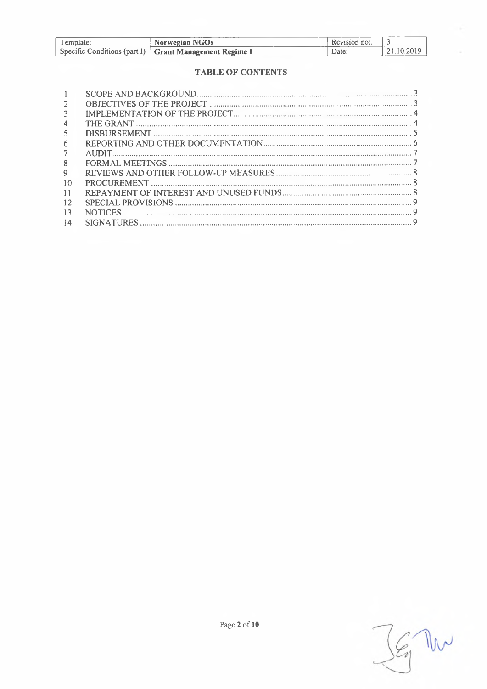| l emplate: | <b>Norwegian NGOs</b>                                    | Recursion no. |            |
|------------|----------------------------------------------------------|---------------|------------|
|            | Specific Conditions (part I)   Grant Management Regime I | Date          | ?1.10.2019 |

ſ

### **TABLE OF CONTENTS**

| 3. |   |
|----|---|
|    |   |
| 5  |   |
| 6  |   |
|    |   |
| 8  |   |
| 9  |   |
| 10 |   |
| 11 |   |
| 12 |   |
| 13 | Q |
| 14 |   |
|    |   |

 $\mathbb{W}$  $\mathcal{L}_1$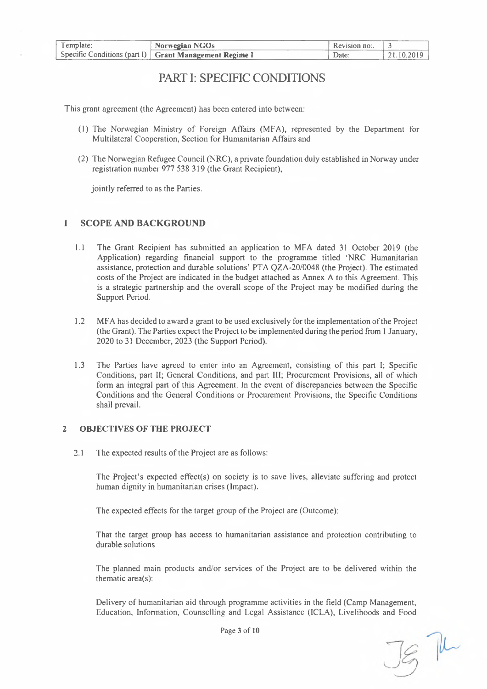| l'emplate: | Norwegian NGOs                                           | Revision no: |            |
|------------|----------------------------------------------------------|--------------|------------|
|            | Specific Conditions (part I)   Grant Management Regime I | Date.        | 21.10.2019 |

## PART I: SPECIFIC CONDITIONS

This grant agreement (the Agreement) has been entered into between:

- (1) The Norwegian Ministry of Foreign Affairs (MFA), represented by the Department for Multilateral Cooperation, Section for Humanitarian Affairs and
- (2) The Norwegian Refugee Council (NRC), a private foundation duly established in Norway under registration number 977 538 319 (the Grant Recipient),

jointly referred to as the Parties.

#### <span id="page-2-0"></span>**<sup>1</sup> SCOPE AND BACKGROUND**

- 1.1 The Grant Recipient has submitted an application to MFA dated 31 October 2019 (the Application) regarding financial support to the programme titled 'NRC Humanitarian assistance, protection and durable solutions' PTA QZA-20/0048 (the Project). The estimated costs ofthe Project are indicated in the budget attached as Annex A to this Agreement. This is a strategic partnership and the overall scope of the Project may be modified during the Support Period.
- 1.2 MFA has decided to award a grant to be used exclusively for the implementation ofthe Project (the Grant). The Parties expect the Project to be implemented during the period from <sup>1</sup> January, 2020 to 31 December, 2023 (the Support Period).
- 1.3 The Parties have agreed to enter into an Agreement, consisting of this part 1; Specific Conditions, part II; General Conditions, and part III; Procurement Provisions, all of which form an integral part of this Agreement. In the event of discrepancies between the Specific Conditions and the General Conditions or Procurement Provisions, the Specific Conditions shall prevail.

#### **2 OBJECTIVES OF THE PROJECT**

2.1 The expected results of the Project are as follows:

The Project's expected effect(s) on society is to save lives, alleviate suffering and protect human dignity in humanitarian crises (Impact).

The expected effects for the target group of the Project are (Outcome):

That the target group has access to humanitarian assistance and protection contributing to durable solutions

The planned main products and/or services of the Project are to be delivered within the thematic area(s):

Delivery of humanitarian aid through programme activities in the field (Camp Management, Education, Information, Counselling and Legal Assistance (ICLA), Livelihoods and Food

Page 3 of 10

 $\mathbb{R}$  The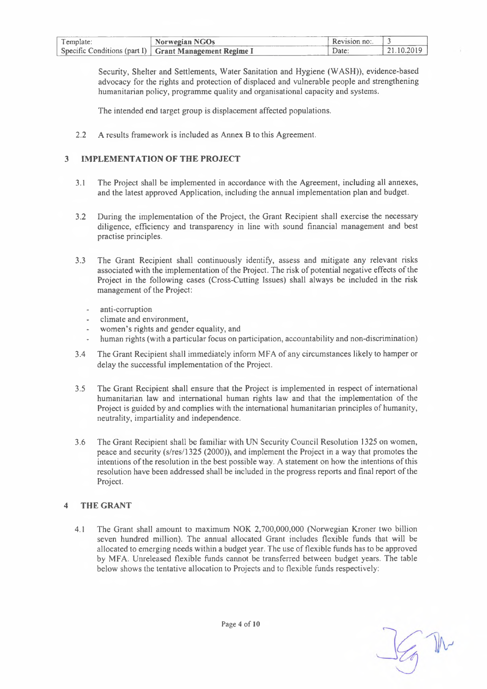| Template: | Norwegian NGOs                                           | Revision no: |  |
|-----------|----------------------------------------------------------|--------------|--|
|           | Specific Conditions (part I)   Grant Management Regime I | Date:        |  |

Security, Shelter and Settlements, Water Sanitation and Hygiene (WASH)), evidence-based advocacy for the rights and protection of displaced and vulnerable people and strengthening humanitarian policy, programme quality and organisational capacity and systems.

The intended end target group is displacement affected populations.

2.2 A results framework is included as Annex B to this Agreement.

#### **3 IMPLEMENTATION OF THE PROJECT**

- 3.1 The Project shall be implemented in accordance with the Agreement, including all annexes, and the latest approved Application, including the annual implementation plan and budget.
- 3.2 During the implementation of the Project, the Grant Recipient shall exercise the necessary diligence, efficiency and transparency in line with sound financial management and best practise principles.
- 3.3 The Grant Recipient shall continuously identify, assess and mitigate any relevant risks associated with the implementation of the Project. The risk of potential negative effects of the Project in the following cases (Cross-Cutting Issues) shall always be included in the risk management of the Project:
	- anti-corruption  $\overline{a}$
	- climate and environment,
	- women's rights and gender equality, and
	- human rights (with a particular focus on participation, accountability and non-discrimination)
- 3.4 The Grant Recipient shall immediately inform MFA of any circumstances likely to hamper or delay the successful implementation of the Project.
- 3.5 The Grant Recipient shall ensure that the Project is implemented in respect of international humanitarian law and international human rights law and that the implementation of the Project is guided by and complies with the international humanitarian principles of humanity, neutrality, impartiality and independence.
- 3.6 The Grant Recipient shall be familiar with UN Security Council Resolution 1325 on women, peace and security (s/res/1325 (2000)), and implement the Project in a way that promotes the intentions of the resolution in the best possible way. A statement on how the intentions of this resolution have been addressed shall be included in the progress reports and final report of the Project.

#### **4 THE GRANT**

4.1 The Grant shall amount to maximum NOK 2,700,000,000 (Norwegian Kroner two billion seven hundred million). The annual allocated Grant includes flexible funds that will be allocated to emerging needs within a budget year. The use offlexible funds has to be approved by MFA. Unreleased flexible funds cannot be transferred between budget years. The table below shows the tentative allocation to Projects and to flexible funds respectively: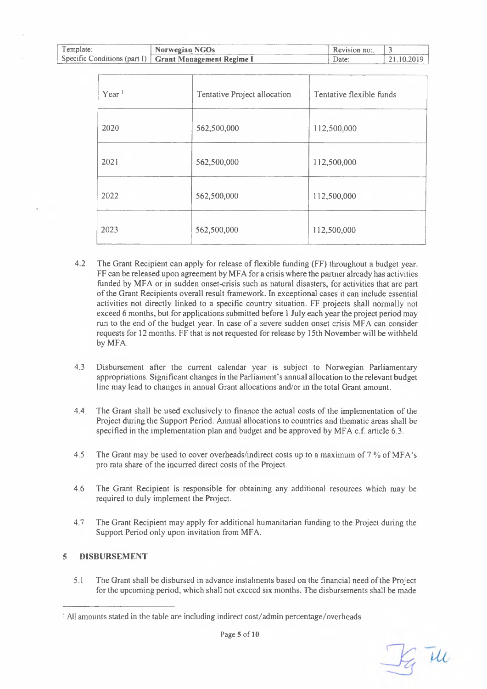| Template: | Norwegian NGOs                                           | Revision no: |          |
|-----------|----------------------------------------------------------|--------------|----------|
|           | Specific Conditions (part I)   Grant Management Regime I | Date         | .10.2019 |

| Year <sup>1</sup> | Tentative Project allocation | Tentative flexible funds |
|-------------------|------------------------------|--------------------------|
| 2020              | 562,500,000                  | 112,500,000              |
| 2021              | 562,500,000                  | 112,500,000              |
| 2022              | 562,500,000                  | 112,500,000              |
| 2023              | 562,500,000                  | 112,500,000              |

- 4.2 The Grant Recipient can apply for release of flexible funding (FF) throughout a budget year. FF can be released upon agreement by MFA for a crisis where the partner already has activities funded by MFA or in sudden onset-crisis such as natural disasters, for activities that are part ofthe Grant Recipients overall result framework. In exceptional cases it can include essential activities not directly linked to a specific country situation. FF projects shall normally not exceed 6 months, but for applications submitted before <sup>1</sup> July each year the project period may run to the end of the budget year. In case of a severe sudden onset crisis MFA can consider requests for 12 months. FF that is not requested for release by 15th November will be withheld by MFA.
- 4.3 Disbursement after the current calendar year is subject to Norwegian Parliamentary appropriations. Significant changes in the Parliament's annual allocation to the relevant budget line may lead to changes in annual Grant allocations and/or in the total Grant amount.
- 4.4 The Grant shall be used exclusively to finance the actual costs of the implementation of the Project during the Support Period. Annual allocations to countries and thematic areas shall be specified in the implementation plan and budget and be approved by MFA c.f. article 6.3.
- 4.5 The Grant may be used to cover overheads/indirect costs up to a maximum of 7 % of MFA's pro rata share of the incurred direct costs of the Project.
- 4.6 The Grant Recipient is responsible for obtaining any additional resources which may be required to duly implement the Project.
- 4.7 The Grant Recipient may apply for additional humanitarian funding to the Project during the Support Period only upon invitation from MFA.

#### **5 DISBURSEMENT**

5.1 The Grant shall be disbursed in advance instalments based on the financial need ofthe Project for the upcoming period, which shall not exceed six months. The disbursements shall be made

Ig the

<sup>1</sup> All amounts stated in the table are including indirect cost/admin percentage/overheads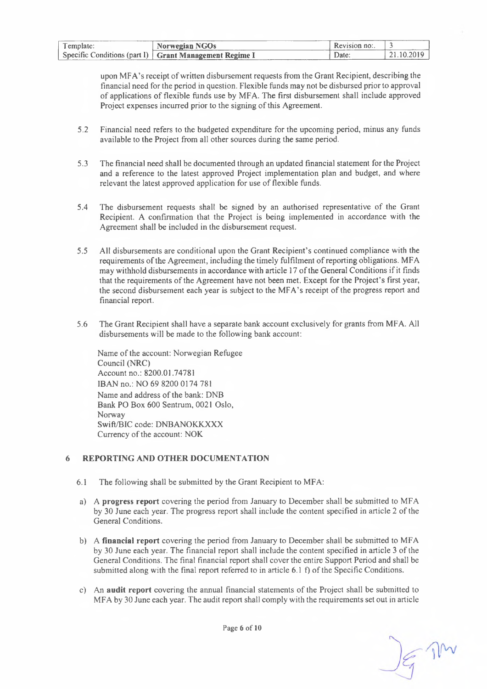| l emplate: | Norwegian NGOs                                           | Revision no: |          |
|------------|----------------------------------------------------------|--------------|----------|
|            | Specific Conditions (part I)   Grant Management Regime I | Date         | .10.2019 |

upon MFA's receipt of written disbursement requests from the Grant Recipient, describing the financial need for the period in question. Flexible funds may not be disbursed prior to approval of applications of flexible funds use by MFA. The first disbursement shall include approved Project expenses incurred prior to the signing of this Agreement.

- 5.2 Financial need refers to the budgeted expenditure for the upcoming period, minus any funds available to the Project from all other sources during the same period.
- 5.3 The financial need shall be documented through an updated financial statement for the Project and a reference to the latest approved Project implementation plan and budget, and where relevant the latest approved application for use of flexible funds.
- 5.4 The disbursement requests shall be signed by an authorised representative of the Grant Recipient. A confirmation that the Project is being implemented in accordance with the Agreement shall be included in the disbursement request.
- 5.5 All disbursements are conditional upon the Grant Recipient's continued compliance with the requirements ofthe Agreement, including the timely fulfilment ofreporting obligations. MFA may withhold disbursements in accordance with article 17 of the General Conditions if it finds that the requirements of the Agreement have not been met. Except for the Project's first year, the second disbursement each year is subject to the MFA's receipt of the progress report and financial report.
- 5.6 The Grant Recipient shall have a separate bank account exclusively for grants from MFA. All disbursements will be made to the following bank account:

Name of the account: Norwegian Refugee Council (NRC) Account no.: 8200.01.74781 IBAN no.: NO 69 8200 0174 781 Name and address of the bank: DNB Bank PO Box 600 Sentrum, 0021 Oslo, Norway Swift/BIC code: DNBANOKKXXX Currency of the account: NOK

#### <span id="page-5-0"></span>**6 REPORTING AND OTHER DOCUMENTATION**

- $6.1$  The following shall be submitted by the Grant Recipient to MFA:
- a) A **progress report** covering the period from January to December shall be submitted to MFA by 30 June each year. The progress report shall include the content specified in article 2 ofthe General Conditions.
- b) A **financial report** covering the period from January to December shall be submitted to MFA by 30 June each year. The financial report shall include the content specified in article 3 ofthe General Conditions. The final financial report shall cover the entire Support Period and shall be submitted along with the final report referred to in article 6.1 f) of the Specific Conditions.
- c) An **audit report** covering the annual financial statements of the Project shall be submitted to MFA by 30 June each year. The audit report shall comply with the requirements set out in article

Page 6 of 10

T The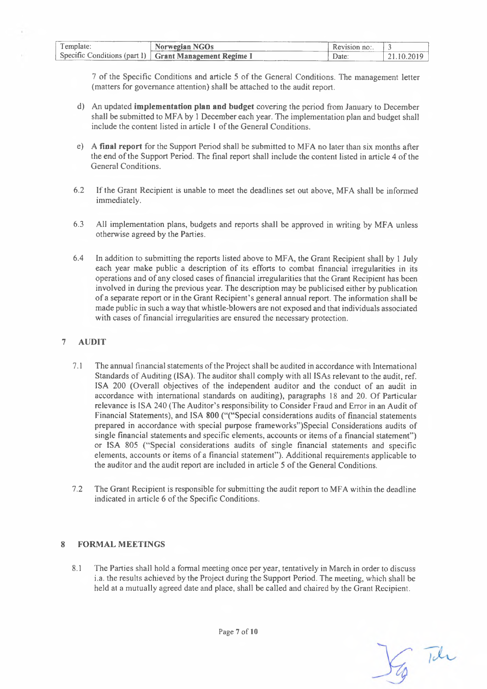| Template: | Norwegian NGOs                                           | $Revision no$ : |          |
|-----------|----------------------------------------------------------|-----------------|----------|
|           | Specific Conditions (part 1)   Grant Management Regime I | Jate            | .10.2019 |

7 of the Specific Conditions and article 5 of the General Conditions. The management letter (matters for governance attention) shall be attached to the audit report.

- d) An updated **implementation plan and budget** covering the period from January to December shall be submitted to MFA by <sup>1</sup> December each year. The implementation plan and budget shall include the content listed in article 1 of the General Conditions.
- e) A **final report** for the Support Period shall be submitted to MFA no later than six months after the end of the Support Period. The final report shall include the content listed in article 4 of the General Conditions.
- 6.2 Ifthe Grant Recipient is unable to meet the deadlines set out above, MFA shall be informed immediately.
- 6.3 All implementation plans, budgets and reports shall be approved in writing by MFA unless otherwise agreed by the Parties.
- 6.4 In addition to submitting the reports listed above to MFA, the Grant Recipient shall by <sup>1</sup> July each year make public a description of its efforts to combat financial irregularities in its operations and ofany closed cases offinancial irregularities that the Grant Recipient has been involved in during the previous year. The description may be publicised either by publication of a separate report or in the Grant Recipient's general annual report. The information shall be made public in such a way that whistle-blowers are not exposed and that individuals associated with cases of financial irregularities are ensured the necessary protection.

#### <span id="page-6-0"></span>**7 AUDIT**

- 7.1 The annual financial statements ofthe Project shall be audited in accordance with International Standards of Auditing (ISA). The auditor shall comply with all ISAs relevant to the audit, ref. ISA 200 (Overall objectives of the independent auditor and the conduct of an audit in accordance with international standards on auditing), paragraphs 18 and 20. Of Particular relevance is ISA 240 (The Auditor's responsibility to Consider Fraud and Error in an Audit of Financial Statements), and ISA 800 ("("Special considerations audits of financial statements prepared in accordance with special purpose frameworks")Special Considerations audits of single financial statements and specific elements, accounts or items of a financial statement'') or ISA 805 ("Special considerations audits of single financial statements and specific elements, accounts or items of a financial statement''). Additional requirements applicable to the auditor and the audit report are included in article 5 of the General Conditions.
- 7.2 The Grant Recipient is responsible for submitting the audit report to MFA within the deadline indicated in article 6 of the Specific Conditions.

#### <span id="page-6-1"></span>**8 FORMAL MEETINGS**

8.1 The Parties shall hold a formal meeting once per year, tentatively in March in order to discuss i.a. the results achieved by the Project during the Support Period. The meeting, which shall be held at a mutually agreed date and place, shall be called and chaired by the Grant Recipient.

The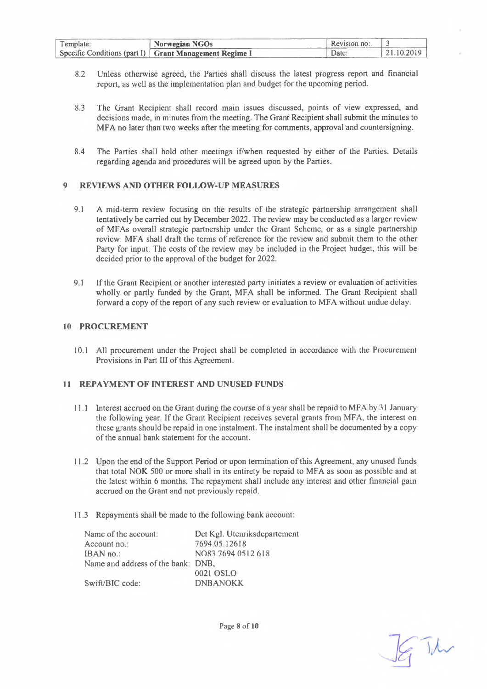| l'emplate: | Norwegian NGOs                                           | $R$ evision no: |          |
|------------|----------------------------------------------------------|-----------------|----------|
|            | Specific Conditions (part I)   Grant Management Regime I | Date:           | -10 2010 |

- 8.2 Unless otherwise agreed, the Parties shall discuss the latest progress report and financial report, as well as the implementation plan and budget for the upcoming period.
- 8.3 The Grant Recipient shall record main issues discussed, points of view expressed, and decisions made, in minutes from the meeting. The Grant Recipient shall submit the minutes to MFA no later than two weeks after the meeting for comments, approval and countersigning.
- 8.4 The Parties shall hold other meetings if/when requested by either of the Parties. Details regarding agenda and procedures will be agreed upon by the Parties.

#### <span id="page-7-0"></span>**9 REVIEWS AND OTHER FOLLOW-UP MEASURES**

- 9.1 A mid-term review focusing on the results of the strategic partnership arrangement shall tentatively be carried out by December 2022. The review may be conducted as a larger review of MFAs overall strategic partnership under the Grant Scheme, or as a single partnership review. MFA shall draft the terms of reference for the review and submit them to the other Party for input. The costs of the review may be included in the Project budget, this will be decided prior to the approval of the budget for 2022.
- 9.1 Ifthe Grant Recipient or another interested party initiates a review or evaluation of activities wholly or partly funded by the Grant, MFA shall be informed. The Grant Recipient shall forward a copy of the report of any such review or evaluation to MFA without undue delay.

#### <span id="page-7-1"></span>**10 PROCUREMENT**

10.1 All procurement under the Project shall be completed in accordance with the Procurement Provisions in Part III of this Agreement.

#### <span id="page-7-2"></span>**11 REPAYMENT OF INTEREST AND UNUSED FUNDS**

- 11.1 Interest accrued on the Grant during the course of a year shall be repaid to MFA by 31 January the following year. If the Grant Recipient receives several grants from MFA, the interest on these grants should be repaid in one instalment. The instalment shall be documented by a copy of the annual bank statement for the account.
- 11.2 Upon the end ofthe Support Period or upon termination ofthis Agreement, any unused funds that total NOK 500 or more shall in its entirety be repaid to MFA as soon as possible and at the latest within 6 months. The repayment shall include any interest and other financial gain accrued on the Grant and not previously repaid.
- 11.3 Repayments shall be made to the following bank account:

| Name of the account:               | Det Kgl. Utenriksdepartement |
|------------------------------------|------------------------------|
| Account $no$ :                     | 7694.05.12618                |
| $IBAN$ no.:                        | NO83 7694 0512 618           |
| Name and address of the bank: DNB, |                              |
|                                    | 0021 OSLO                    |
| Swift/BIC code:                    | <b>DNBANOKK</b>              |

R The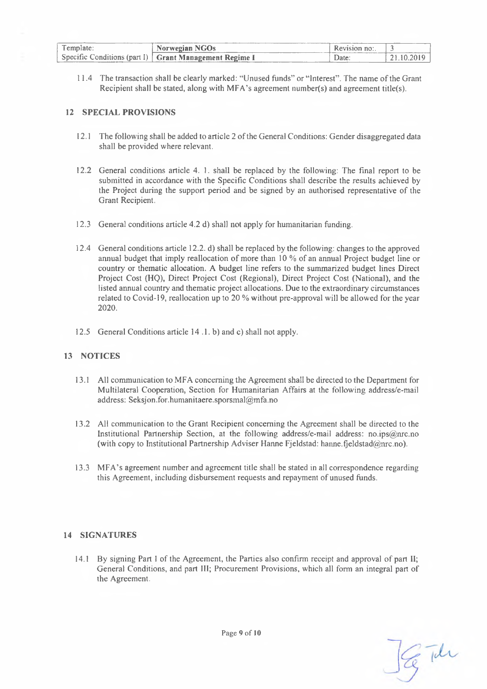| Template: | Norwegian NGOs                                           | Revision no: |            |
|-----------|----------------------------------------------------------|--------------|------------|
|           | Specific Conditions (part I)   Grant Management Regime I | Date:        | 21 10 2019 |

11.4 The transaction shall be clearly marked: "Unused funds" or "Interest". The name ofthe Grant Recipient shall be stated, along with MFA's agreement number(s) and agreement title(s).

#### <span id="page-8-0"></span>**12 SPECIAL PROVISIONS**

- 12.1 The following shall be added to article 2 of the General Conditions: Gender disaggregated data shall be provided where relevant.
- 12.2 General conditions article 4. 1. shall be replaced by the following: The final report to be submitted in accordance with the Specific Conditions shall describe the results achieved by the Project during the support period and be signed by an authorised representative of the Grant Recipient.
- 12.3 General conditions article 4.2 d) shall not apply for humanitarian funding.
- 12.4 General conditions article 12.2. d) shall be replaced by the following: changes to the approved annual budget that imply reallocation of more than 10 % of an annual Project budget line or country or thematic allocation. A budget line refers to the summarized budget lines Direct Project Cost (HQ), Direct Project Cost (Regional), Direct Project Cost (National), and the listed annual country and thematic project allocations. Due to the extraordinary circumstances related to Covid-19, reallocation up to 20 % without pre-approval will be allowed for the year 2020**.**
- <span id="page-8-1"></span>12.5 General Conditions article 14 .1. b) and c) shall not apply.

#### **13 NOTICES**

- 13.1 All communication to MFA concerning the Agreement shall be directed to the Department for Multilateral Cooperation, Section for Humanitarian Affairs at the following address/e-mail address: [Seksjon.for.humanitaere.sporsmal@mfa.no](mailto:Seksjon.for.humanitaere.sporsmal@mfa.no)
- 13.2 All communication to the Grant Recipient concerning the Agreement shall be directed to the Institutional Partnership Section, at the following address/e-mail address: [no.ips@mc.no](mailto:no.ips@mc.no) (with copy to Institutional Partnership Adviser Hanne Fjeldstad: hanne.fjeldstad@nrc.no).
- 13.3 MFA's agreement number and agreement title shall be stated in all correspondence regarding this Agreement, including disbursement requests and repayment of unused funds.

#### <span id="page-8-2"></span>**14 SIGNATURES**

14.1 By signing Part <sup>1</sup> of the Agreement, the Parties also confirm receipt and approval of part II; General Conditions, and part III; Procurement Provisions, which all form an integral part of the Agreement.

G The

Page 9 of 10